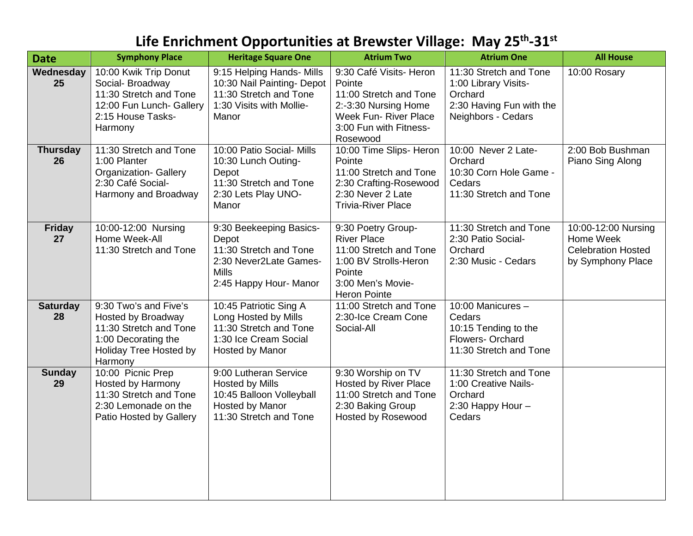## **Life Enrichment Opportunities at Brewster Village: May 25th-31st**

| <b>Date</b>           | <b>Symphony Place</b>                                                                                                                    | <b>Heritage Square One</b>                                                                                                     | <b>Atrium Two</b>                                                                                                                                         | <b>Atrium One</b>                                                                                           | <b>All House</b>                                                                   |
|-----------------------|------------------------------------------------------------------------------------------------------------------------------------------|--------------------------------------------------------------------------------------------------------------------------------|-----------------------------------------------------------------------------------------------------------------------------------------------------------|-------------------------------------------------------------------------------------------------------------|------------------------------------------------------------------------------------|
| Wednesday<br>25       | 10:00 Kwik Trip Donut<br>Social- Broadway<br>11:30 Stretch and Tone<br>12:00 Fun Lunch- Gallery<br>2:15 House Tasks-<br>Harmony          | 9:15 Helping Hands- Mills<br>10:30 Nail Painting- Depot<br>11:30 Stretch and Tone<br>1:30 Visits with Mollie-<br>Manor         | 9:30 Café Visits- Heron<br>Pointe<br>11:00 Stretch and Tone<br>2:-3:30 Nursing Home<br><b>Week Fun- River Place</b><br>3:00 Fun with Fitness-<br>Rosewood | 11:30 Stretch and Tone<br>1:00 Library Visits-<br>Orchard<br>2:30 Having Fun with the<br>Neighbors - Cedars | 10:00 Rosary                                                                       |
| <b>Thursday</b><br>26 | 11:30 Stretch and Tone<br>1:00 Planter<br><b>Organization- Gallery</b><br>2:30 Café Social-<br>Harmony and Broadway                      | 10:00 Patio Social- Mills<br>10:30 Lunch Outing-<br>Depot<br>11:30 Stretch and Tone<br>2:30 Lets Play UNO-<br>Manor            | 10:00 Time Slips- Heron<br>Pointe<br>11:00 Stretch and Tone<br>2:30 Crafting-Rosewood<br>2:30 Never 2 Late<br><b>Trivia-River Place</b>                   | 10:00 Never 2 Late-<br>Orchard<br>10:30 Corn Hole Game -<br>Cedars<br>11:30 Stretch and Tone                | 2:00 Bob Bushman<br>Piano Sing Along                                               |
| <b>Friday</b><br>27   | 10:00-12:00 Nursing<br>Home Week-All<br>11:30 Stretch and Tone                                                                           | 9:30 Beekeeping Basics-<br>Depot<br>11:30 Stretch and Tone<br>2:30 Never2Late Games-<br><b>Mills</b><br>2:45 Happy Hour- Manor | 9:30 Poetry Group-<br><b>River Place</b><br>11:00 Stretch and Tone<br>1:00 BV Strolls-Heron<br>Pointe<br>3:00 Men's Movie-<br><b>Heron Pointe</b>         | 11:30 Stretch and Tone<br>2:30 Patio Social-<br>Orchard<br>2:30 Music - Cedars                              | 10:00-12:00 Nursing<br>Home Week<br><b>Celebration Hosted</b><br>by Symphony Place |
| <b>Saturday</b><br>28 | 9:30 Two's and Five's<br>Hosted by Broadway<br>11:30 Stretch and Tone<br>1:00 Decorating the<br><b>Holiday Tree Hosted by</b><br>Harmony | 10:45 Patriotic Sing A<br>Long Hosted by Mills<br>11:30 Stretch and Tone<br>1:30 Ice Cream Social<br>Hosted by Manor           | 11:00 Stretch and Tone<br>2:30-Ice Cream Cone<br>Social-All                                                                                               | 10:00 Manicures -<br>Cedars<br>10:15 Tending to the<br>Flowers- Orchard<br>11:30 Stretch and Tone           |                                                                                    |
| <b>Sunday</b><br>29   | 10:00 Picnic Prep<br>Hosted by Harmony<br>11:30 Stretch and Tone<br>2:30 Lemonade on the<br>Patio Hosted by Gallery                      | 9:00 Lutheran Service<br><b>Hosted by Mills</b><br>10:45 Balloon Volleyball<br>Hosted by Manor<br>11:30 Stretch and Tone       | 9:30 Worship on TV<br><b>Hosted by River Place</b><br>11:00 Stretch and Tone<br>2:30 Baking Group<br><b>Hosted by Rosewood</b>                            | 11:30 Stretch and Tone<br>1:00 Creative Nails-<br>Orchard<br>2:30 Happy Hour -<br>Cedars                    |                                                                                    |